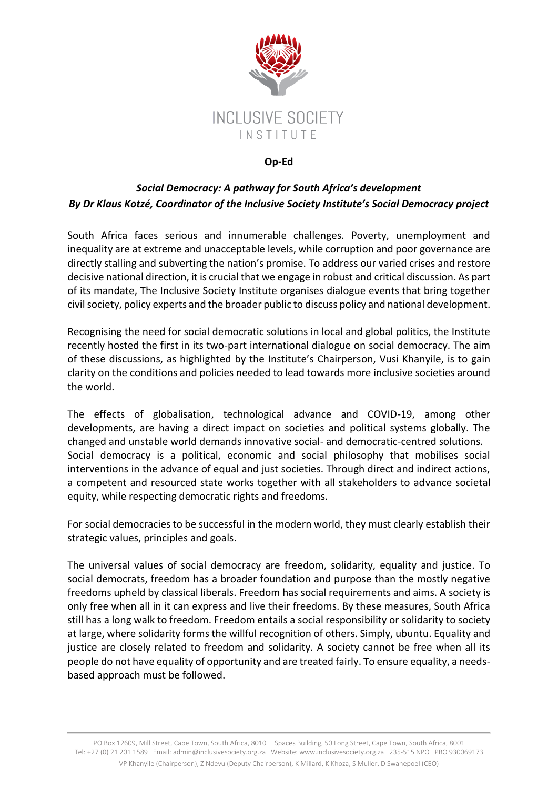

## **Op-Ed**

## *Social Democracy: A pathway for South Africa's development By Dr Klaus Kotzé, Coordinator of the Inclusive Society Institute's Social Democracy project*

South Africa faces serious and innumerable challenges. Poverty, unemployment and inequality are at extreme and unacceptable levels, while corruption and poor governance are directly stalling and subverting the nation's promise. To address our varied crises and restore decisive national direction, it is crucial that we engage in robust and critical discussion. As part of its mandate, The Inclusive Society Institute organises dialogue events that bring together civil society, policy experts and the broader public to discuss policy and national development.

Recognising the need for social democratic solutions in local and global politics, the Institute recently hosted the first in its two-part international dialogue on social democracy. The aim of these discussions, as highlighted by the Institute's Chairperson, Vusi Khanyile, is to gain clarity on the conditions and policies needed to lead towards more inclusive societies around the world.

The effects of globalisation, technological advance and COVID-19, among other developments, are having a direct impact on societies and political systems globally. The changed and unstable world demands innovative social- and democratic-centred solutions. Social democracy is a political, economic and social philosophy that mobilises social interventions in the advance of equal and just societies. Through direct and indirect actions, a competent and resourced state works together with all stakeholders to advance societal equity, while respecting democratic rights and freedoms.

For social democracies to be successful in the modern world, they must clearly establish their strategic values, principles and goals.

The universal values of social democracy are freedom, solidarity, equality and justice. To social democrats, freedom has a broader foundation and purpose than the mostly negative freedoms upheld by classical liberals. Freedom has social requirements and aims. A society is only free when all in it can express and live their freedoms. By these measures, South Africa still has a long walk to freedom. Freedom entails a social responsibility or solidarity to society at large, where solidarity forms the willful recognition of others. Simply, ubuntu. Equality and justice are closely related to freedom and solidarity. A society cannot be free when all its people do not have equality of opportunity and are treated fairly. To ensure equality, a needsbased approach must be followed.